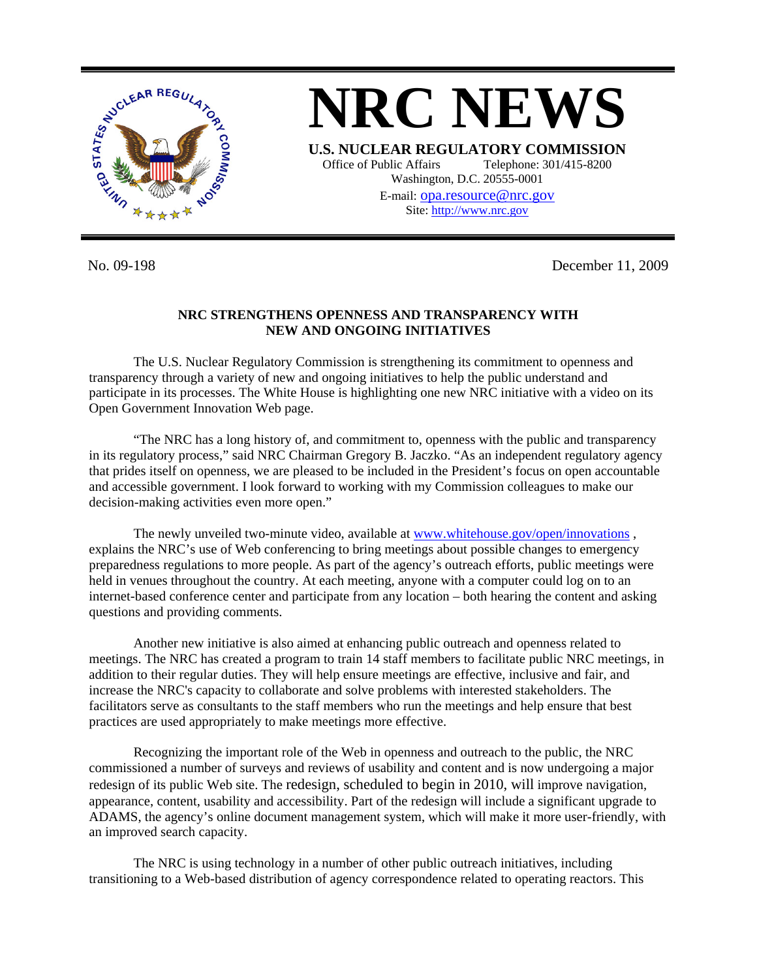

**NRC NEWS U.S. NUCLEAR REGULATORY COMMISSION** Office of Public Affairs Telephone: 301/415-8200 Washington, D.C. 20555-0001 E-mail: [opa.resource@nrc.gov](mailto:opa.resource@nrc.gov) Site: http://www.nrc.gov

No. 09-198 December 11, 2009

## **NRC STRENGTHENS OPENNESS AND TRANSPARENCY WITH NEW AND ONGOING INITIATIVES**

The U.S. Nuclear Regulatory Commission is strengthening its commitment to openness and transparency through a variety of new and ongoing initiatives to help the public understand and participate in its processes. The White House is highlighting one new NRC initiative with a video on its Open Government Innovation Web page.

"The NRC has a long history of, and commitment to, openness with the public and transparency in its regulatory process," said NRC Chairman Gregory B. Jaczko. "As an independent regulatory agency that prides itself on openness, we are pleased to be included in the President's focus on open accountable and accessible government. I look forward to working with my Commission colleagues to make our decision-making activities even more open."

The newly unveiled two-minute video, available at [www.whitehouse.gov/open/innovations](http://www.whitehouse.gov/open/innovations) , explains the NRC's use of Web conferencing to bring meetings about possible changes to emergency preparedness regulations to more people. As part of the agency's outreach efforts, public meetings were held in venues throughout the country. At each meeting, anyone with a computer could log on to an internet-based conference center and participate from any location – both hearing the content and asking questions and providing comments.

Another new initiative is also aimed at enhancing public outreach and openness related to meetings. The NRC has created a program to train 14 staff members to facilitate public NRC meetings, in addition to their regular duties. They will help ensure meetings are effective, inclusive and fair, and increase the NRC's capacity to collaborate and solve problems with interested stakeholders. The facilitators serve as consultants to the staff members who run the meetings and help ensure that best practices are used appropriately to make meetings more effective.

Recognizing the important role of the Web in openness and outreach to the public, the NRC commissioned a number of surveys and reviews of usability and content and is now undergoing a major redesign of its public Web site. The redesign, scheduled to begin in 2010, will improve navigation, appearance, content, usability and accessibility. Part of the redesign will include a significant upgrade to ADAMS, the agency's online document management system, which will make it more user-friendly, with an improved search capacity.

The NRC is using technology in a number of other public outreach initiatives, including transitioning to a Web-based distribution of agency correspondence related to operating reactors. This